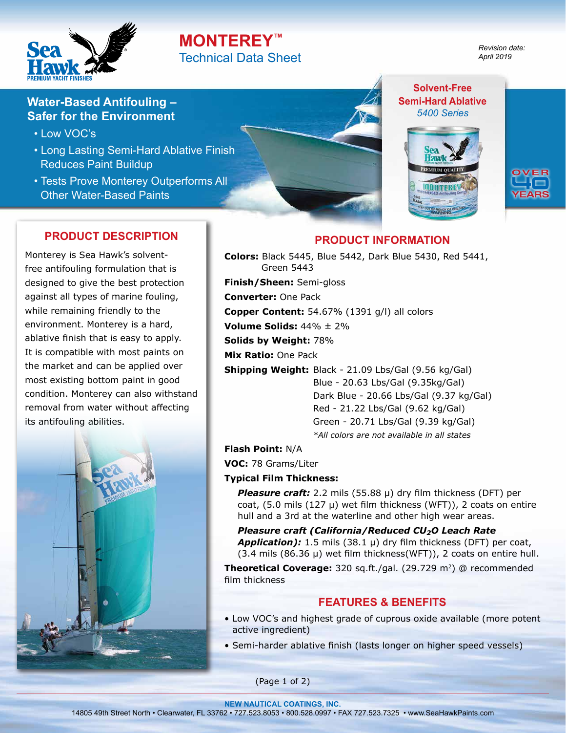

# **MONTEREY™** Technical Data Sheet

*Revision date: April 2019*

**Solvent-Free Semi-Hard Ablative** *5400 Series*

## **Water-Based Antifouling – Safer for the Environment**

- Low VOC's
- Long Lasting Semi-Hard Ablative Finish Reduces Paint Buildup
- Tests Prove Monterey Outperforms All Other Water-Based Paints

## **PRODUCT DESCRIPTION**

Monterey is Sea Hawk's solventfree antifouling formulation that is designed to give the best protection against all types of marine fouling, while remaining friendly to the environment. Monterey is a hard, ablative finish that is easy to apply. It is compatible with most paints on the market and can be applied over most existing bottom paint in good condition. Monterey can also withstand removal from water without affecting its antifouling abilities.



**PRODUCT INFORMATION**

**Colors:** Black 5445, Blue 5442, Dark Blue 5430, Red 5441, Green 5443 **Finish/Sheen:** Semi-gloss **Converter:** One Pack **Copper Content:** 54.67% (1391 g/l) all colors **Volume Solids:** 44% ± 2% **Solids by Weight:** 78% **Mix Ratio:** One Pack **Shipping Weight:** Black - 21.09 Lbs/Gal (9.56 kg/Gal) Blue - 20.63 Lbs/Gal (9.35kg/Gal) Dark Blue - 20.66 Lbs/Gal (9.37 kg/Gal)

Red - 21.22 Lbs/Gal (9.62 kg/Gal) Green - 20.71 Lbs/Gal (9.39 kg/Gal) *\*All colors are not available in all states*

**Flash Point:** N/A

**VOC:** 78 Grams/Liter

#### **Typical Film Thickness:**

*Pleasure craft:* 2.2 mils (55.88 µ) dry film thickness (DFT) per coat,  $(5.0 \text{ miles } (127 \mu)$  wet film thickness  $(WFT)$ ), 2 coats on entire hull and a 3rd at the waterline and other high wear areas.

*Pleasure craft (California/Reduced CU2O Leach Rate Application):* 1.5 mils (38.1 µ) dry film thickness (DFT) per coat,  $(3.4 \text{ miles } (86.36 \text{ µ})$  wet film thickness(WFT)), 2 coats on entire hull.

**Theoretical Coverage:** 320 sq.ft./gal. (29.729 m<sup>2</sup>) @ recommended film thickness

## **FEATURES & BENEFITS**

- Low VOC's and highest grade of cuprous oxide available (more potent active ingredient)
- Semi-harder ablative finish (lasts longer on higher speed vessels)

(Page 1 of 2)

**NEW NAUTICAL COATINGS, INC.**  14805 49th Street North • Clearwater, FL 33762 • 727.523.8053 • 800.528.0997 • FAX 727.523.7325 • www.SeaHawkPaints.com